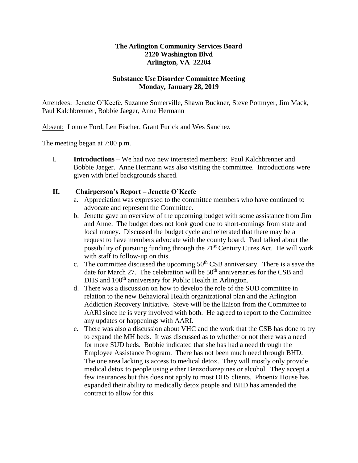## **The Arlington Community Services Board 2120 Washington Blvd Arlington, VA 22204**

## **Substance Use Disorder Committee Meeting Monday, January 28, 2019**

Attendees: Jenette O'Keefe, Suzanne Somerville, Shawn Buckner, Steve Pottmyer, Jim Mack, Paul Kalchbrenner, Bobbie Jaeger, Anne Hermann

Absent: Lonnie Ford, Len Fischer, Grant Furick and Wes Sanchez

The meeting began at 7:00 p.m.

I. **Introductions** – We had two new interested members: Paul Kalchbrenner and Bobbie Jaeger. Anne Hermann was also visiting the committee. Introductions were given with brief backgrounds shared.

## **II. Chairperson's Report – Jenette O'Keefe**

- a. Appreciation was expressed to the committee members who have continued to advocate and represent the Committee.
- b. Jenette gave an overview of the upcoming budget with some assistance from Jim and Anne. The budget does not look good due to short-comings from state and local money. Discussed the budget cycle and reiterated that there may be a request to have members advocate with the county board. Paul talked about the possibility of pursuing funding through the 21st Century Cures Act. He will work with staff to follow-up on this.
- c. The committee discussed the upcoming  $50<sup>th</sup>$  CSB anniversary. There is a save the date for March 27. The celebration will be  $50<sup>th</sup>$  anniversaries for the CSB and DHS and 100<sup>th</sup> anniversary for Public Health in Arlington.
- d. There was a discussion on how to develop the role of the SUD committee in relation to the new Behavioral Health organizational plan and the Arlington Addiction Recovery Initiative. Steve will be the liaison from the Committee to AARI since he is very involved with both. He agreed to report to the Committee any updates or happenings with AARI.
- e. There was also a discussion about VHC and the work that the CSB has done to try to expand the MH beds. It was discussed as to whether or not there was a need for more SUD beds. Bobbie indicated that she has had a need through the Employee Assistance Program. There has not been much need through BHD. The one area lacking is access to medical detox. They will mostly only provide medical detox to people using either Benzodiazepines or alcohol. They accept a few insurances but this does not apply to most DHS clients. Phoenix House has expanded their ability to medically detox people and BHD has amended the contract to allow for this.